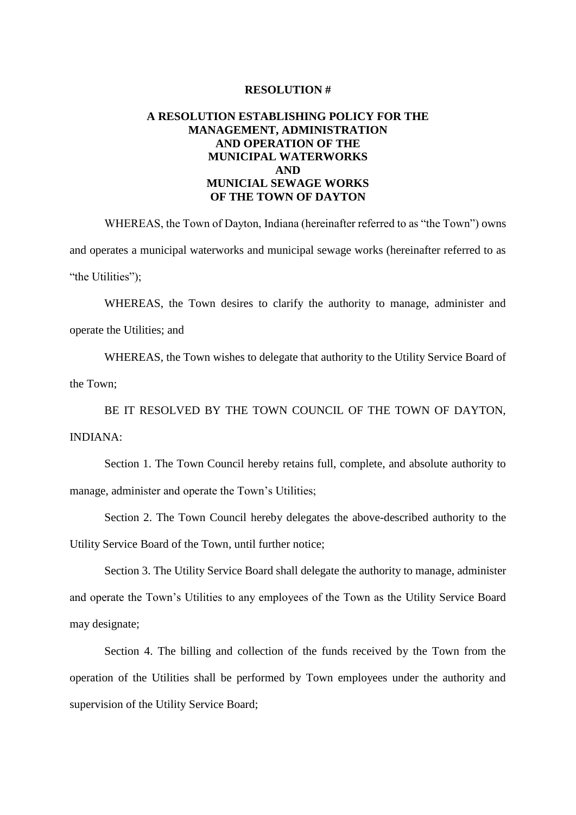## **RESOLUTION #**

## **A RESOLUTION ESTABLISHING POLICY FOR THE MANAGEMENT, ADMINISTRATION AND OPERATION OF THE MUNICIPAL WATERWORKS AND MUNICIAL SEWAGE WORKS OF THE TOWN OF DAYTON**

WHEREAS, the Town of Dayton, Indiana (hereinafter referred to as "the Town") owns and operates a municipal waterworks and municipal sewage works (hereinafter referred to as "the Utilities");

WHEREAS, the Town desires to clarify the authority to manage, administer and operate the Utilities; and

WHEREAS, the Town wishes to delegate that authority to the Utility Service Board of the Town;

BE IT RESOLVED BY THE TOWN COUNCIL OF THE TOWN OF DAYTON, INDIANA:

Section 1. The Town Council hereby retains full, complete, and absolute authority to manage, administer and operate the Town's Utilities;

Section 2. The Town Council hereby delegates the above-described authority to the Utility Service Board of the Town, until further notice;

Section 3. The Utility Service Board shall delegate the authority to manage, administer and operate the Town's Utilities to any employees of the Town as the Utility Service Board may designate;

Section 4. The billing and collection of the funds received by the Town from the operation of the Utilities shall be performed by Town employees under the authority and supervision of the Utility Service Board;